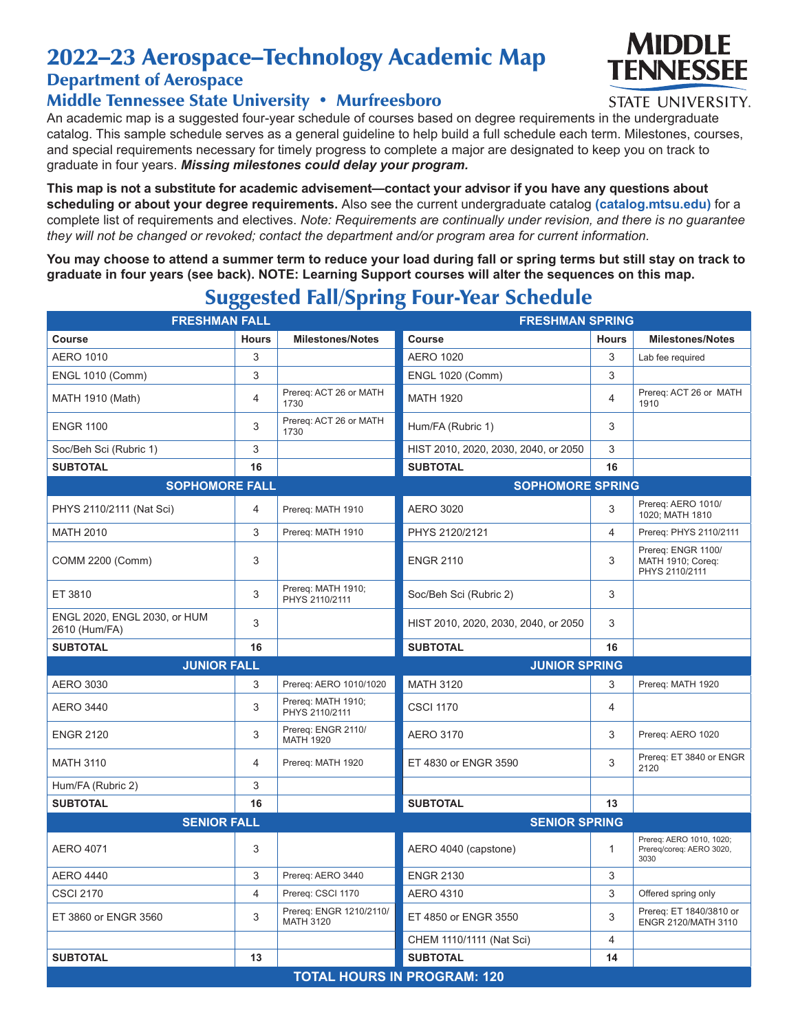# 2022–23 Aerospace–Technology Academic Map

### Department of Aerospace

#### Middle Tennessee State University • Murfreesboro

An academic map is a suggested four-year schedule of courses based on degree requirements in the undergraduate catalog. This sample schedule serves as a general guideline to help build a full schedule each term. Milestones, courses, and special requirements necessary for timely progress to complete a major are designated to keep you on track to graduate in four years. *Missing milestones could delay your program.*

**This map is not a substitute for academic advisement—contact your advisor if you have any questions about scheduling or about your degree requirements.** Also see the current undergraduate catalog **(catalog.mtsu.edu)** for a complete list of requirements and electives. *Note: Requirements are continually under revision, and there is no guarantee they will not be changed or revoked; contact the department and/or program area for current information.*

**You may choose to attend a summer term to reduce your load during fall or spring terms but still stay on track to graduate in four years (see back). NOTE: Learning Support courses will alter the sequences on this map.**

| $\tilde{\phantom{a}}$<br><b>FRESHMAN FALL</b> |                           |                                             | <b>FRESHMAN SPRING</b>               |                |                                                              |  |  |
|-----------------------------------------------|---------------------------|---------------------------------------------|--------------------------------------|----------------|--------------------------------------------------------------|--|--|
| <b>Course</b>                                 | <b>Hours</b>              | <b>Milestones/Notes</b>                     | <b>Course</b>                        | <b>Hours</b>   | <b>Milestones/Notes</b>                                      |  |  |
| <b>AERO 1010</b>                              | 3                         |                                             | <b>AERO 1020</b>                     | 3              | Lab fee required                                             |  |  |
| <b>ENGL 1010 (Comm)</b>                       | 3                         |                                             | <b>ENGL 1020 (Comm)</b>              | 3              |                                                              |  |  |
| MATH 1910 (Math)                              | $\overline{4}$            | Prereq: ACT 26 or MATH<br>1730              | <b>MATH 1920</b>                     | $\overline{4}$ | Prereq: ACT 26 or MATH<br>1910                               |  |  |
| <b>ENGR 1100</b>                              | 3                         | Prereq: ACT 26 or MATH<br>1730              | Hum/FA (Rubric 1)                    | 3              |                                                              |  |  |
| Soc/Beh Sci (Rubric 1)                        | 3                         |                                             | HIST 2010, 2020, 2030, 2040, or 2050 | 3              |                                                              |  |  |
| <b>SUBTOTAL</b>                               | 16                        |                                             | <b>SUBTOTAL</b>                      | 16             |                                                              |  |  |
| <b>SOPHOMORE FALL</b>                         |                           |                                             | <b>SOPHOMORE SPRING</b>              |                |                                                              |  |  |
| PHYS 2110/2111 (Nat Sci)                      | 4                         | Prereq: MATH 1910                           | <b>AERO 3020</b>                     | 3              | Prereq: AERO 1010/<br>1020; MATH 1810                        |  |  |
| <b>MATH 2010</b>                              | 3                         | Prereq: MATH 1910                           | PHYS 2120/2121                       | $\overline{4}$ | Prereq: PHYS 2110/2111                                       |  |  |
| COMM 2200 (Comm)                              | 3                         |                                             | <b>ENGR 2110</b>                     | 3              | Prereq: ENGR 1100/<br>MATH 1910; Coreq:<br>PHYS 2110/2111    |  |  |
| ET 3810                                       | $\ensuremath{\mathsf{3}}$ | Prereq: MATH 1910;<br>PHYS 2110/2111        | Soc/Beh Sci (Rubric 2)               | 3              |                                                              |  |  |
| ENGL 2020, ENGL 2030, or HUM<br>2610 (Hum/FA) | 3                         |                                             | HIST 2010, 2020, 2030, 2040, or 2050 | 3              |                                                              |  |  |
| <b>SUBTOTAL</b>                               | 16                        |                                             | <b>SUBTOTAL</b>                      | 16             |                                                              |  |  |
| <b>JUNIOR FALL</b>                            |                           |                                             | <b>JUNIOR SPRING</b>                 |                |                                                              |  |  |
| <b>AERO 3030</b>                              | 3                         | Prereq: AERO 1010/1020                      | <b>MATH 3120</b>                     | 3              | Prereq: MATH 1920                                            |  |  |
| <b>AERO 3440</b>                              | 3                         | Prereq: MATH 1910;<br>PHYS 2110/2111        | <b>CSCI 1170</b>                     | $\overline{4}$ |                                                              |  |  |
| <b>ENGR 2120</b>                              | 3                         | Prereq: ENGR 2110/<br><b>MATH 1920</b>      | <b>AERO 3170</b>                     | 3              | Prereq: AERO 1020                                            |  |  |
| <b>MATH 3110</b>                              | $\overline{4}$            | Prereq: MATH 1920                           | ET 4830 or ENGR 3590                 | 3              | Prereq: ET 3840 or ENGR<br>2120                              |  |  |
| Hum/FA (Rubric 2)                             | 3                         |                                             |                                      |                |                                                              |  |  |
| <b>SUBTOTAL</b>                               | 16                        |                                             | <b>SUBTOTAL</b>                      | 13             |                                                              |  |  |
| <b>SENIOR FALL</b>                            |                           |                                             | <b>SENIOR SPRING</b>                 |                |                                                              |  |  |
| <b>AERO 4071</b>                              | 3                         |                                             | AERO 4040 (capstone)                 | $\mathbf{1}$   | Prereq: AERO 1010, 1020;<br>Prereg/coreg: AERO 3020,<br>3030 |  |  |
| <b>AERO 4440</b>                              | 3                         | Prereq: AERO 3440                           | <b>ENGR 2130</b>                     | 3              |                                                              |  |  |
| <b>CSCI 2170</b>                              | $\overline{4}$            | Prereq: CSCI 1170                           | <b>AERO 4310</b>                     | 3              | Offered spring only                                          |  |  |
| ET 3860 or ENGR 3560                          | 3                         | Prereg: ENGR 1210/2110/<br><b>MATH 3120</b> | ET 4850 or ENGR 3550                 | 3              | Prereq: ET 1840/3810 or<br>ENGR 2120/MATH 3110               |  |  |
|                                               |                           |                                             | CHEM 1110/1111 (Nat Sci)             | 4              |                                                              |  |  |
| <b>SUBTOTAL</b>                               | 13                        |                                             | <b>SUBTOTAL</b>                      | 14             |                                                              |  |  |
| <b>TOTAL HOURS IN PROGRAM: 120</b>            |                           |                                             |                                      |                |                                                              |  |  |

## Suggested Fall/Spring Four-Year Schedule



STATE UNIVERSITY.